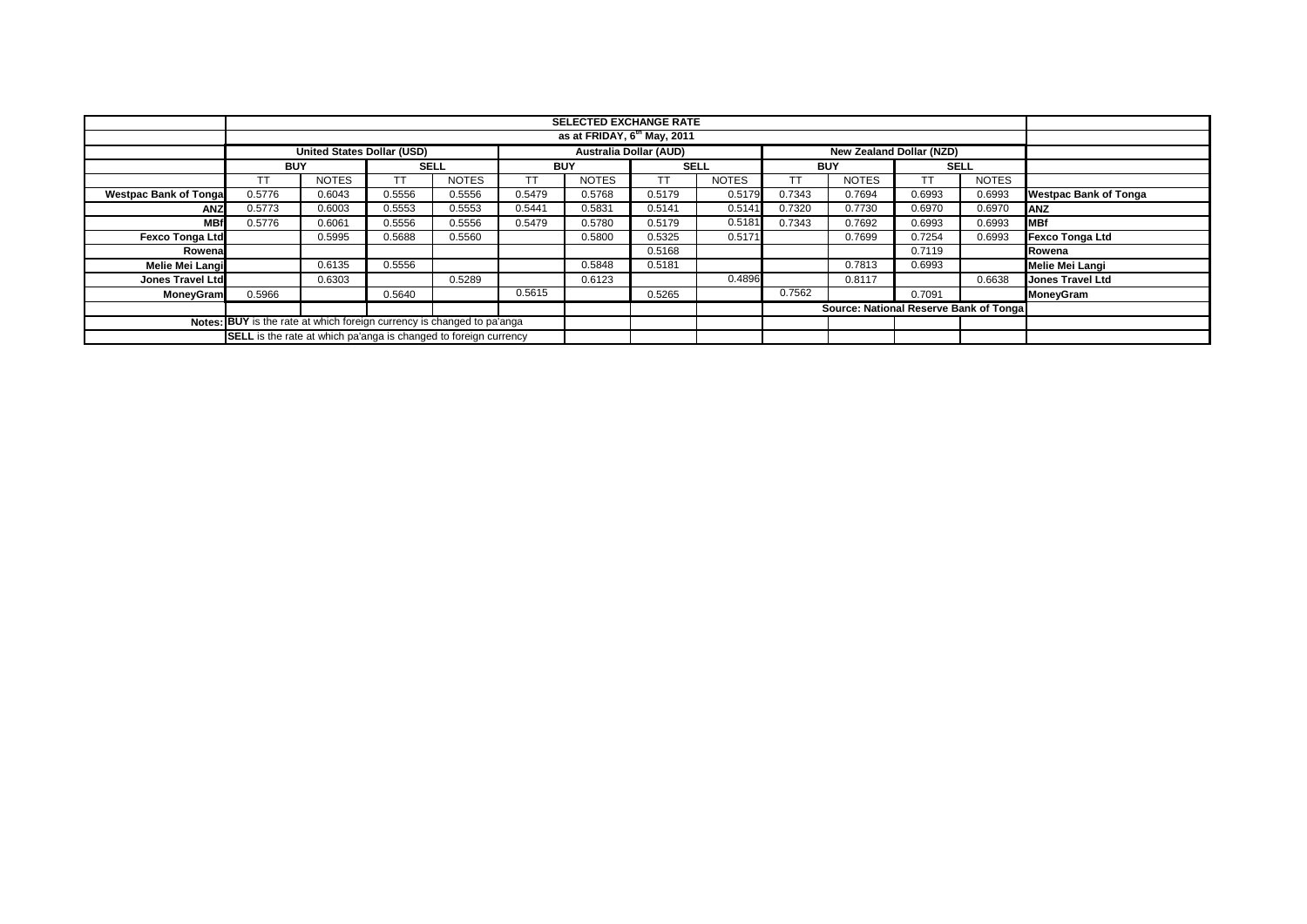|                              |                                                                                                       |              |        |              |            | <b>SELECTED EXCHANGE RATE</b><br>as at FRIDAY, 6 <sup>th</sup> May, 2011 |             |              |            |                                        |             |              |                              |
|------------------------------|-------------------------------------------------------------------------------------------------------|--------------|--------|--------------|------------|--------------------------------------------------------------------------|-------------|--------------|------------|----------------------------------------|-------------|--------------|------------------------------|
|                              |                                                                                                       |              |        |              |            |                                                                          |             |              |            |                                        |             |              |                              |
|                              | <b>Australia Dollar (AUD)</b><br><b>United States Dollar (USD)</b><br><b>New Zealand Dollar (NZD)</b> |              |        |              |            |                                                                          |             |              |            |                                        |             |              |                              |
|                              | <b>BUY</b>                                                                                            |              |        | <b>SELL</b>  | <b>BUY</b> |                                                                          | <b>SELL</b> |              | <b>BUY</b> |                                        | <b>SELL</b> |              |                              |
|                              |                                                                                                       | <b>NOTES</b> | тт     | <b>NOTES</b> |            | <b>NOTES</b>                                                             |             | <b>NOTES</b> |            | <b>NOTES</b>                           | TT          | <b>NOTES</b> |                              |
| <b>Westpac Bank of Tonga</b> | 0.5776                                                                                                | 0.6043       | 0.5556 | 0.5556       | 0.5479     | 0.5768                                                                   | 0.5179      | 0.5179       | 0.7343     | 0.7694                                 | 0.6993      | 0.6993       | <b>Westpac Bank of Tonga</b> |
| <b>ANZ</b>                   | 0.5773                                                                                                | 0.6003       | 0.5553 | 0.5553       | 0.5441     | 0.5831                                                                   | 0.5141      | 0.5141       | 0.7320     | 0.7730                                 | 0.6970      | 0.6970       | <b>IANZ</b>                  |
| <b>MBf</b>                   | 0.5776                                                                                                | 0.6061       | 0.5556 | 0.5556       | 0.5479     | 0.5780                                                                   | 0.5179      | 0.5181       | 0.7343     | 0.7692                                 | 0.6993      | 0.6993       | <b>MBf</b>                   |
| <b>Fexco Tonga Ltd</b>       |                                                                                                       | 0.5995       | 0.5688 | 0.5560       |            | 0.5800                                                                   | 0.5325      | 0.5171       |            | 0.7699                                 | 0.7254      | 0.6993       | <b>Fexco Tonga Ltd</b>       |
| Rowenal                      |                                                                                                       |              |        |              |            |                                                                          | 0.5168      |              |            |                                        | 0.7119      |              | Rowena                       |
| Melie Mei Langi              |                                                                                                       | 0.6135       | 0.5556 |              |            | 0.5848                                                                   | 0.5181      |              |            | 0.7813                                 | 0.6993      |              | <b>Melie Mei Langi</b>       |
| Jones Travel Ltd             |                                                                                                       | 0.6303       |        | 0.5289       |            | 0.6123                                                                   |             | 0.4896       |            | 0.8117                                 |             | 0.6638       | <b>Jones Travel Ltd</b>      |
| <b>MoneyGram</b>             | 0.5966                                                                                                |              | 0.5640 |              | 0.5615     |                                                                          | 0.5265      |              | 0.7562     |                                        | 0.7091      |              | <b>MoneyGram</b>             |
|                              |                                                                                                       |              |        |              |            |                                                                          |             |              |            | Source: National Reserve Bank of Tonga |             |              |                              |
|                              | <b>Notes: BUY</b> is the rate at which foreign currency is changed to pa'anga                         |              |        |              |            |                                                                          |             |              |            |                                        |             |              |                              |
|                              | <b>SELL</b> is the rate at which pa'anga is changed to foreign currency                               |              |        |              |            |                                                                          |             |              |            |                                        |             |              |                              |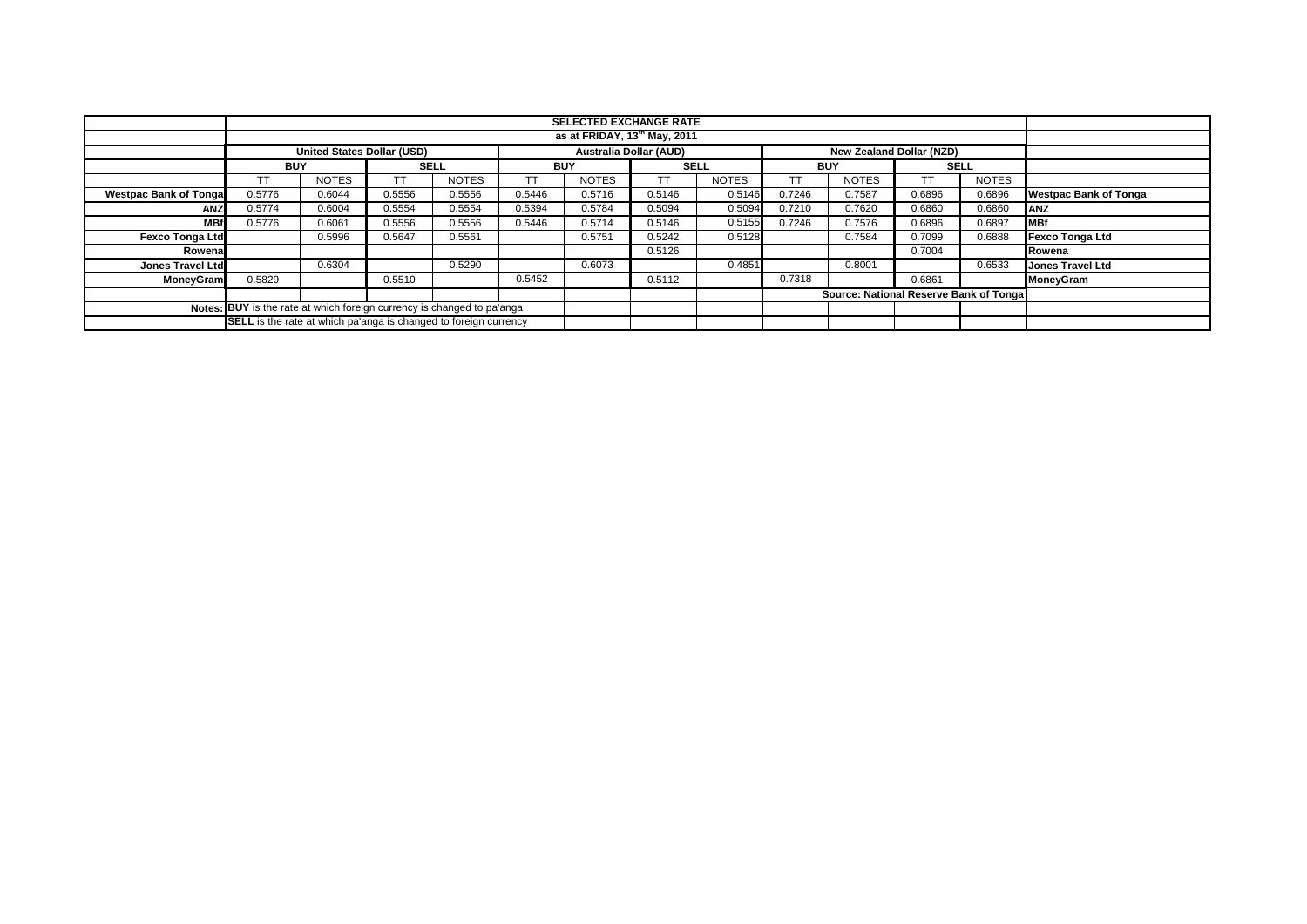|                               | <b>SELECTED EXCHANGE RATE</b>                                           |                                                                                                       |        |              |        |              |        |              |           |                                         |        |              |                         |
|-------------------------------|-------------------------------------------------------------------------|-------------------------------------------------------------------------------------------------------|--------|--------------|--------|--------------|--------|--------------|-----------|-----------------------------------------|--------|--------------|-------------------------|
|                               |                                                                         |                                                                                                       |        |              |        |              |        |              |           |                                         |        |              |                         |
|                               |                                                                         |                                                                                                       |        |              |        |              |        |              |           |                                         |        |              |                         |
|                               |                                                                         | <b>Australia Dollar (AUD)</b><br><b>New Zealand Dollar (NZD)</b><br><b>United States Dollar (USD)</b> |        |              |        |              |        |              |           |                                         |        |              |                         |
|                               | <b>BUY</b>                                                              |                                                                                                       |        | <b>SELL</b>  |        | <b>BUY</b>   |        | <b>SELL</b>  |           | <b>BUY</b>                              |        | <b>SELL</b>  |                         |
|                               | <b>TT</b>                                                               | <b>NOTES</b>                                                                                          |        | <b>NOTES</b> | ТT     | <b>NOTES</b> | TТ     | <b>NOTES</b> | <b>TT</b> | <b>NOTES</b>                            | TT     | <b>NOTES</b> |                         |
| <b>Westpac Bank of Tongal</b> | 0.5776                                                                  | 0.6044                                                                                                | 0.5556 | 0.5556       | 0.5446 | 0.5716       | 0.5146 | 0.5146       | 0.7246    | 0.7587                                  | 0.6896 | 0.6896       | Westpac Bank of Tonga   |
| <b>ANZ</b>                    | 0.5774                                                                  | 0.6004                                                                                                | 0.5554 | 0.5554       | 0.5394 | 0.5784       | 0.5094 | 0.5094       | 0.7210    | 0.7620                                  | 0.6860 | 0.6860       | ANZ                     |
| <b>MBf</b>                    | 0.5776                                                                  | 0.6061                                                                                                | 0.5556 | 0.5556       | 0.5446 | 0.5714       | 0.5146 | 0.5155       | 0.7246    | 0.7576                                  | 0.6896 | 0.6897       | <b>MBf</b>              |
| <b>Fexco Tonga Ltd</b>        |                                                                         | 0.5996                                                                                                | 0.5647 | 0.5561       |        | 0.5751       | 0.5242 | 0.5128       |           | 0.7584                                  | 0.7099 | 0.6888       | Fexco Tonga Ltd         |
| Rowena                        |                                                                         |                                                                                                       |        |              |        |              | 0.5126 |              |           |                                         | 0.7004 |              | Rowena                  |
| Jones Travel Ltd              |                                                                         | 0.6304                                                                                                |        | 0.5290       |        | 0.6073       |        | 0.4851       |           | 0.8001                                  |        | 0.6533       | <b>Jones Travel Ltd</b> |
| <b>MoneyGram</b>              | 0.5829                                                                  |                                                                                                       | 0.5510 |              | 0.5452 |              | 0.5112 |              | 0.7318    |                                         | 0.6861 |              | <b>MoneyGram</b>        |
|                               |                                                                         |                                                                                                       |        |              |        |              |        |              |           | Source: National Reserve Bank of Tongal |        |              |                         |
|                               | Notes: BUY is the rate at which foreign currency is changed to pa'anga  |                                                                                                       |        |              |        |              |        |              |           |                                         |        |              |                         |
|                               | <b>SELL</b> is the rate at which pa'anga is changed to foreign currency |                                                                                                       |        |              |        |              |        |              |           |                                         |        |              |                         |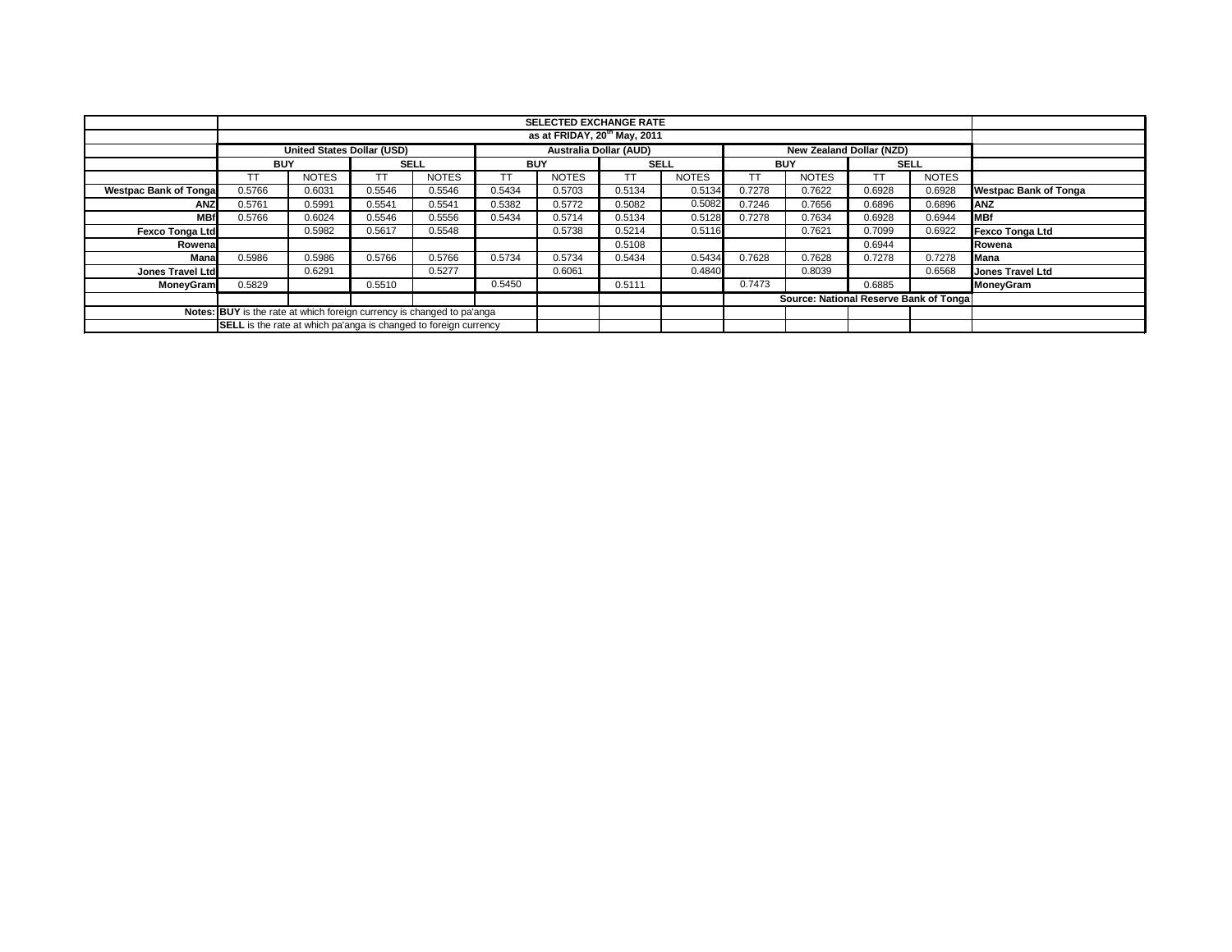|                                                                        |                                                                                                |                                          |             |              |        | <b>SELECTED EXCHANGE RATE</b> |        |              |        |                                        |        |              |                              |
|------------------------------------------------------------------------|------------------------------------------------------------------------------------------------|------------------------------------------|-------------|--------------|--------|-------------------------------|--------|--------------|--------|----------------------------------------|--------|--------------|------------------------------|
|                                                                        |                                                                                                | as at FRIDAY, 20 <sup>th</sup> May, 2011 |             |              |        |                               |        |              |        |                                        |        |              |                              |
|                                                                        | Australia Dollar (AUD)<br><b>United States Dollar (USD)</b><br><b>New Zealand Dollar (NZD)</b> |                                          |             |              |        |                               |        |              |        |                                        |        |              |                              |
|                                                                        | <b>BUY</b>                                                                                     |                                          | <b>SELL</b> |              |        | <b>BUY</b>                    |        | <b>SELL</b>  |        | <b>BUY</b>                             |        | <b>SELL</b>  |                              |
|                                                                        |                                                                                                | <b>NOTES</b>                             | TT          | <b>NOTES</b> | TT     | <b>NOTES</b>                  | ТT     | <b>NOTES</b> |        | <b>NOTES</b>                           |        | <b>NOTES</b> |                              |
| <b>Westpac Bank of Tonga</b>                                           | 0.5766                                                                                         | 0.6031                                   | 0.5546      | 0.5546       | 0.5434 | 0.5703                        | 0.5134 | 0.5134       | 0.7278 | 0.7622                                 | 0.6928 | 0.6928       | <b>Westpac Bank of Tonga</b> |
| <b>ANZ</b>                                                             | 0.5761                                                                                         | 0.5991                                   | 0.5541      | 0.5541       | 0.5382 | 0.5772                        | 0.5082 | 0.5082       | 0.7246 | 0.7656                                 | 0.6896 | 0.6896       | <b>ANZ</b>                   |
| <b>MBf</b>                                                             | 0.5766                                                                                         | 0.6024                                   | 0.5546      | 0.5556       | 0.5434 | 0.5714                        | 0.5134 | 0.5128       | 0.7278 | 0.7634                                 | 0.6928 | 0.6944       | <b>MBf</b>                   |
| Fexco Tonga Ltd                                                        |                                                                                                | 0.5982                                   | 0.5617      | 0.5548       |        | 0.5738                        | 0.5214 | 0.5116       |        | 0.7621                                 | 0.7099 | 0.6922       | Fexco Tonga Ltd              |
| Rowena                                                                 |                                                                                                |                                          |             |              |        |                               | 0.5108 |              |        |                                        | 0.6944 |              | Rowena                       |
| Mana                                                                   | 0.5986                                                                                         | 0.5986                                   | 0.5766      | 0.5766       | 0.5734 | 0.5734                        | 0.5434 | 0.5434       | 0.7628 | 0.7628                                 | 0.7278 | 0.7278       | Mana                         |
| <b>Jones Travel Ltd</b>                                                |                                                                                                | 0.6291                                   |             | 0.5277       |        | 0.6061                        |        | 0.4840       |        | 0.8039                                 |        | 0.6568       | <b>Jones Travel Ltd</b>      |
| <b>MoneyGram</b>                                                       | 0.5829                                                                                         |                                          | 0.5510      |              | 0.5450 |                               | 0.5111 |              | 0.7473 |                                        | 0.6885 |              | MoneyGram                    |
|                                                                        |                                                                                                |                                          |             |              |        |                               |        |              |        | Source: National Reserve Bank of Tonga |        |              |                              |
| Notes: BUY is the rate at which foreign currency is changed to pa'anga |                                                                                                |                                          |             |              |        |                               |        |              |        |                                        |        |              |                              |
|                                                                        | <b>SELL</b> is the rate at which pa'anga is changed to foreign currency                        |                                          |             |              |        |                               |        |              |        |                                        |        |              |                              |